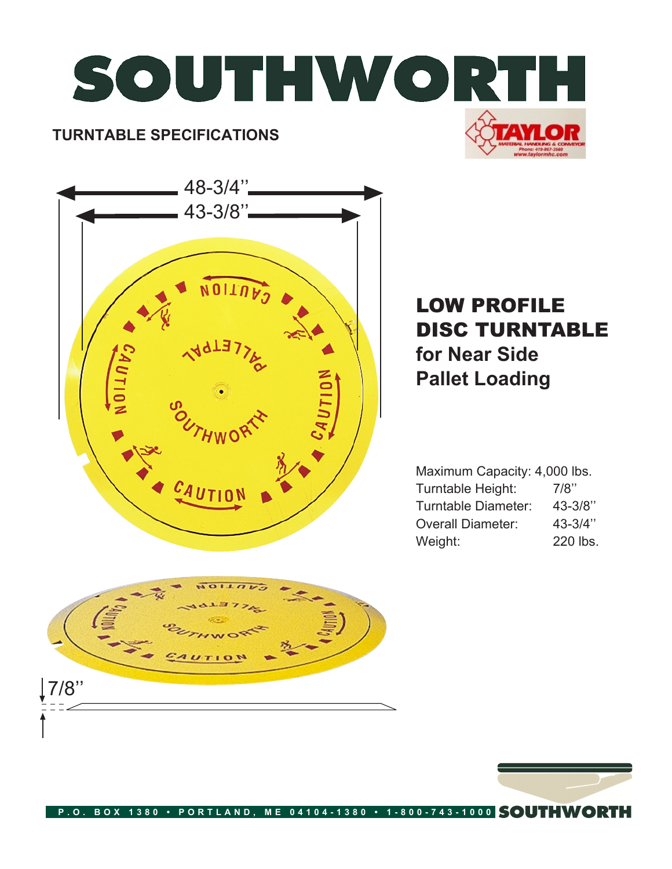



## LOW PROFILE DISC TURNTABLE **for Near Side Pallet Loading**

Maximum Capacity: 4,000 lbs. Turntable Height: 7/8" Turntable Diameter: 43-3/8'' Overall Diameter: 43-3/4'' Weight: 220 lbs.